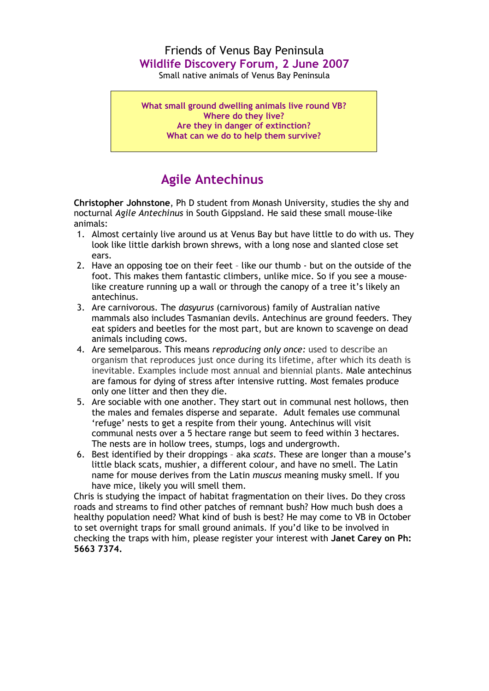## Friends of Venus Bay Peninsula **Wildlife Discovery Forum, 2 June 2007**

Small native animals of Venus Bay Peninsula

**What small ground dwelling animals live round VB? Where do they live? Are they in danger of extinction? What can we do to help them survive?**

## **Agile Antechinus**

**Christopher Johnstone**, Ph D student from Monash University, studies the shy and nocturnal *Agile Antechinus* in South Gippsland. He said these small mouse-like animals:

- 1. Almost certainly live around us at Venus Bay but have little to do with us. They look like little darkish brown shrews, with a long nose and slanted close set ears.
- 2. Have an opposing toe on their feet like our thumb but on the outside of the foot. This makes them fantastic climbers, unlike mice. So if you see a mouselike creature running up a wall or through the canopy of a tree it's likely an antechinus.
- 3. Are carnivorous. The *dasyurus* (carnivorous) family of Australian native mammals also includes Tasmanian devils. Antechinus are ground feeders. They eat spiders and beetles for the most part, but are known to scavenge on dead animals including cows.
- 4. Are semelparous. This means *reproducing only once:* used to describe an organism that reproduces just once during its lifetime, after which its death is inevitable. Examples include most annual and biennial plants. Male antechinus are famous for dying of stress after intensive rutting. Most females produce only one litter and then they die.
- 5. Are sociable with one another. They start out in communal nest hollows, then the males and females disperse and separate. Adult females use communal 'refuge' nests to get a respite from their young. Antechinus will visit communal nests over a 5 hectare range but seem to feed within 3 hectares. The nests are in hollow trees, stumps, logs and undergrowth.
- 6. Best identified by their droppings aka *scats*. These are longer than a mouse's little black scats, mushier, a different colour, and have no smell. The Latin name for mouse derives from the Latin *muscus* meaning musky smell. If you have mice, likely you will smell them.

Chris is studying the impact of habitat fragmentation on their lives. Do they cross roads and streams to find other patches of remnant bush? How much bush does a healthy population need? What kind of bush is best? He may come to VB in October to set overnight traps for small ground animals. If you'd like to be involved in checking the traps with him, please register your interest with **Janet Carey on Ph: 5663 7374.**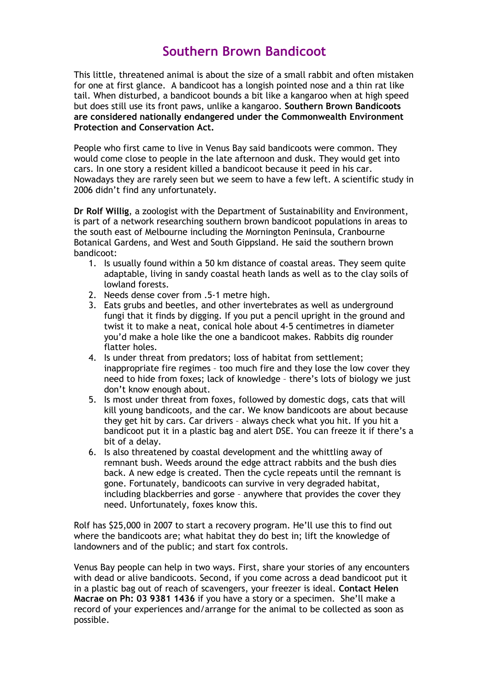## **Southern Brown Bandicoot**

This little, threatened animal is about the size of a small rabbit and often mistaken for one at first glance. A bandicoot has a longish pointed nose and a thin rat like tail. When disturbed, a bandicoot bounds a bit like a kangaroo when at high speed but does still use its front paws, unlike a kangaroo. **Southern Brown Bandicoots are considered nationally endangered under the Commonwealth Environment Protection and Conservation Act.**

People who first came to live in Venus Bay said bandicoots were common. They would come close to people in the late afternoon and dusk. They would get into cars. In one story a resident killed a bandicoot because it peed in his car. Nowadays they are rarely seen but we seem to have a few left. A scientific study in 2006 didn't find any unfortunately.

**Dr Rolf Willig**, a zoologist with the Department of Sustainability and Environment, is part of a network researching southern brown bandicoot populations in areas to the south east of Melbourne including the Mornington Peninsula, Cranbourne Botanical Gardens, and West and South Gippsland. He said the southern brown bandicoot:

- 1. Is usually found within a 50 km distance of coastal areas. They seem quite adaptable, living in sandy coastal heath lands as well as to the clay soils of lowland forests.
- 2. Needs dense cover from .5-1 metre high.
- 3. Eats grubs and beetles, and other invertebrates as well as underground fungi that it finds by digging. If you put a pencil upright in the ground and twist it to make a neat, conical hole about 4-5 centimetres in diameter you'd make a hole like the one a bandicoot makes. Rabbits dig rounder flatter holes.
- 4. Is under threat from predators; loss of habitat from settlement; inappropriate fire regimes – too much fire and they lose the low cover they need to hide from foxes; lack of knowledge – there's lots of biology we just don't know enough about.
- 5. Is most under threat from foxes, followed by domestic dogs, cats that will kill young bandicoots, and the car. We know bandicoots are about because they get hit by cars. Car drivers – always check what you hit. If you hit a bandicoot put it in a plastic bag and alert DSE. You can freeze it if there's a bit of a delay.
- 6. Is also threatened by coastal development and the whittling away of remnant bush. Weeds around the edge attract rabbits and the bush dies back. A new edge is created. Then the cycle repeats until the remnant is gone. Fortunately, bandicoots can survive in very degraded habitat, including blackberries and gorse – anywhere that provides the cover they need. Unfortunately, foxes know this.

Rolf has \$25,000 in 2007 to start a recovery program. He'll use this to find out where the bandicoots are; what habitat they do best in; lift the knowledge of landowners and of the public; and start fox controls.

Venus Bay people can help in two ways. First, share your stories of any encounters with dead or alive bandicoots. Second, if you come across a dead bandicoot put it in a plastic bag out of reach of scavengers, your freezer is ideal. **Contact Helen Macrae on Ph: 03 9381 1436** if you have a story or a specimen. She'll make a record of your experiences and/arrange for the animal to be collected as soon as possible.